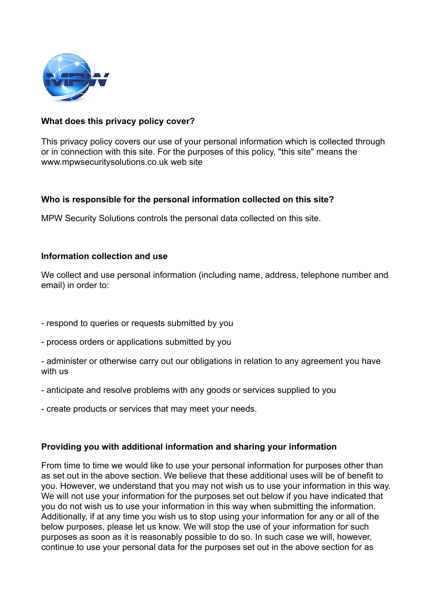

# **What does this privacy policy cover?**

This privacy policy covers our use of your personal information which is collected through or in connection with this site. For the purposes of this policy, "this site" means the www.mpwsecuritysolutions.co.uk web site

# **Who is responsible for the personal information collected on this site?**

MPW Security Solutions controls the personal data collected on this site.

### **Information collection and use**

We collect and use personal information (including name, address, telephone number and email) in order to:

- respond to queries or requests submitted by you
- process orders or applications submitted by you
- administer or otherwise carry out our obligations in relation to any agreement you have with us
- anticipate and resolve problems with any goods or services supplied to you
- create products or services that may meet your needs.

### **Providing you with additional information and sharing your information**

From time to time we would like to use your personal information for purposes other than as set out in the above section. We believe that these additional uses will be of benefit to you. However, we understand that you may not wish us to use your information in this way. We will not use your information for the purposes set out below if you have indicated that you do not wish us to use your information in this way when submitting the information. Additionally, if at any time you wish us to stop using your information for any or all of the below purposes, please let us know. We will stop the use of your information for such purposes as soon as it is reasonably possible to do so. In such case we will, however, continue to use your personal data for the purposes set out in the above section for as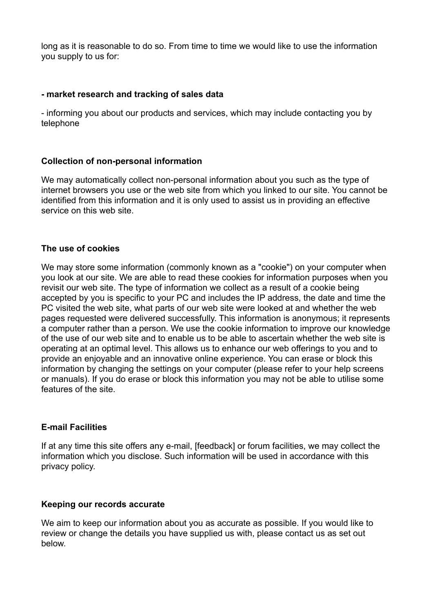long as it is reasonable to do so. From time to time we would like to use the information you supply to us for:

# **- market research and tracking of sales data**

- informing you about our products and services, which may include contacting you by telephone

# **Collection of non-personal information**

We may automatically collect non-personal information about you such as the type of internet browsers you use or the web site from which you linked to our site. You cannot be identified from this information and it is only used to assist us in providing an effective service on this web site.

### **The use of cookies**

We may store some information (commonly known as a "cookie") on your computer when you look at our site. We are able to read these cookies for information purposes when you revisit our web site. The type of information we collect as a result of a cookie being accepted by you is specific to your PC and includes the IP address, the date and time the PC visited the web site, what parts of our web site were looked at and whether the web pages requested were delivered successfully. This information is anonymous; it represents a computer rather than a person. We use the cookie information to improve our knowledge of the use of our web site and to enable us to be able to ascertain whether the web site is operating at an optimal level. This allows us to enhance our web offerings to you and to provide an enjoyable and an innovative online experience. You can erase or block this information by changing the settings on your computer (please refer to your help screens or manuals). If you do erase or block this information you may not be able to utilise some features of the site.

### **E-mail Facilities**

If at any time this site offers any e-mail, [feedback] or forum facilities, we may collect the information which you disclose. Such information will be used in accordance with this privacy policy.

### **Keeping our records accurate**

We aim to keep our information about you as accurate as possible. If you would like to review or change the details you have supplied us with, please contact us as set out below.